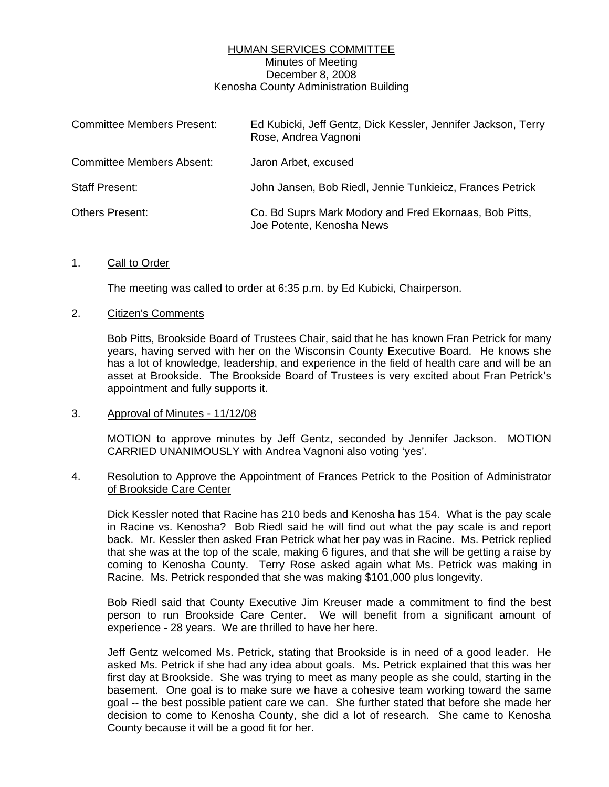## HUMAN SERVICES COMMITTEE Minutes of Meeting December 8, 2008 Kenosha County Administration Building

| <b>Committee Members Present:</b> | Ed Kubicki, Jeff Gentz, Dick Kessler, Jennifer Jackson, Terry<br>Rose, Andrea Vagnoni |
|-----------------------------------|---------------------------------------------------------------------------------------|
| <b>Committee Members Absent:</b>  | Jaron Arbet, excused                                                                  |
| <b>Staff Present:</b>             | John Jansen, Bob Riedl, Jennie Tunkieicz, Frances Petrick                             |
| <b>Others Present:</b>            | Co. Bd Suprs Mark Modory and Fred Ekornaas, Bob Pitts,<br>Joe Potente, Kenosha News   |

## 1. Call to Order

The meeting was called to order at 6:35 p.m. by Ed Kubicki, Chairperson.

## 2. Citizen's Comments

 Bob Pitts, Brookside Board of Trustees Chair, said that he has known Fran Petrick for many years, having served with her on the Wisconsin County Executive Board. He knows she has a lot of knowledge, leadership, and experience in the field of health care and will be an asset at Brookside. The Brookside Board of Trustees is very excited about Fran Petrick's appointment and fully supports it.

3. Approval of Minutes - 11/12/08

 MOTION to approve minutes by Jeff Gentz, seconded by Jennifer Jackson. MOTION CARRIED UNANIMOUSLY with Andrea Vagnoni also voting 'yes'.

## 4. Resolution to Approve the Appointment of Frances Petrick to the Position of Administrator of Brookside Care Center

 Dick Kessler noted that Racine has 210 beds and Kenosha has 154. What is the pay scale in Racine vs. Kenosha? Bob Riedl said he will find out what the pay scale is and report back. Mr. Kessler then asked Fran Petrick what her pay was in Racine. Ms. Petrick replied that she was at the top of the scale, making 6 figures, and that she will be getting a raise by coming to Kenosha County. Terry Rose asked again what Ms. Petrick was making in Racine. Ms. Petrick responded that she was making \$101,000 plus longevity.

 Bob Riedl said that County Executive Jim Kreuser made a commitment to find the best person to run Brookside Care Center. We will benefit from a significant amount of experience - 28 years. We are thrilled to have her here.

 Jeff Gentz welcomed Ms. Petrick, stating that Brookside is in need of a good leader. He asked Ms. Petrick if she had any idea about goals. Ms. Petrick explained that this was her first day at Brookside. She was trying to meet as many people as she could, starting in the basement. One goal is to make sure we have a cohesive team working toward the same goal -- the best possible patient care we can. She further stated that before she made her decision to come to Kenosha County, she did a lot of research. She came to Kenosha County because it will be a good fit for her.